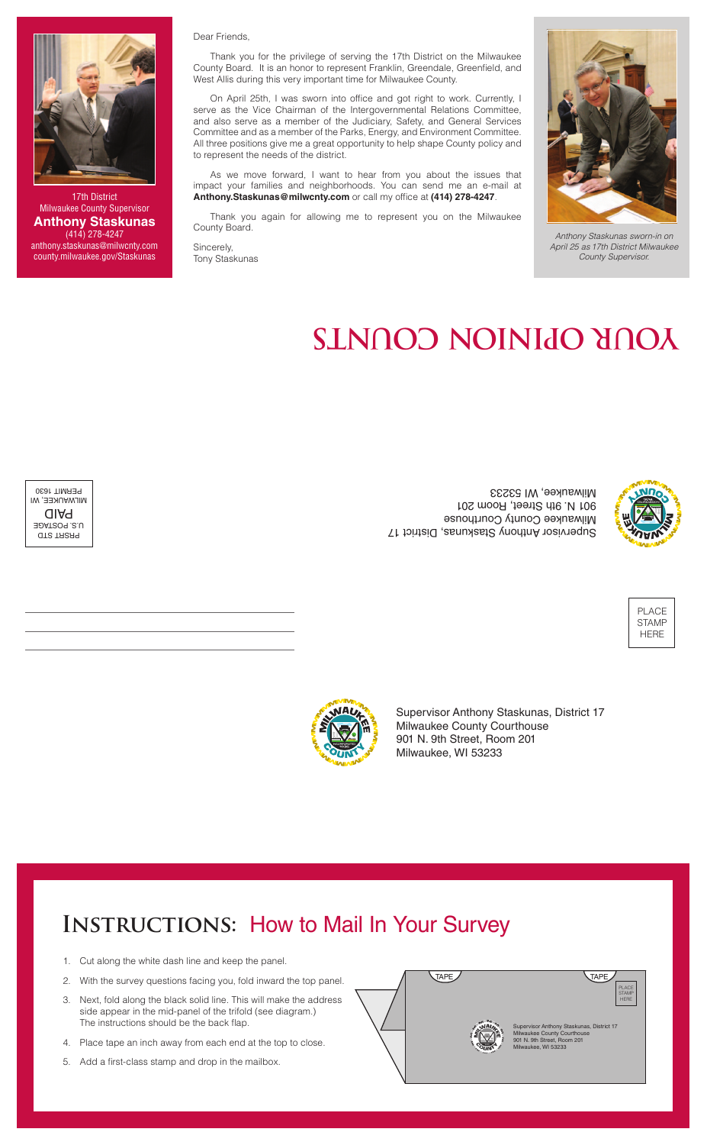PLACE STAMP HERE



# **YOUR OPINION COUNTS**



PRSRT STD U.S. POSTAGE PAID MILWAUKEE, WI PERMIT 1630

Supervisor Anthony Staskunas, District 17 Milwaukee County Courthouse 901 N. 9th Street, Room 201 Milwaukee, WI 53233

Supervisor Anthony Staskunas, District 17 Milwaukee County Courthouse 901 N. 9th Street, Room 201 Milwaukee, WI 53233

### **INSTRUCTIONS: How to Mail In Your Survey**



*Anthony Staskunas sworn-in on April 25 as 17th District Milwaukee County Supervisor.*

- 1. Cut along the white dash line and keep the panel.
- 2. With the survey questions facing you, fold inward the top panel.
- 3. Next, fold along the black solid line. This will make the address side appear in the mid-panel of the trifold (see diagram.) The instructions should be the back flap.
- 4. Place tape an inch away from each end at the top to close.
- 5. Add a first-class stamp and drop in the mailbox.



#### Dear Friends,

Thank you for the privilege of serving the 17th District on the Milwaukee County Board. It is an honor to represent Franklin, Greendale, Greenfield, and West Allis during this very important time for Milwaukee County.

On April 25th, I was sworn into office and got right to work. Currently, I serve as the Vice Chairman of the Intergovernmental Relations Committee, and also serve as a member of the Judiciary, Safety, and General Services Committee and as a member of the Parks, Energy, and Environment Committee. All three positions give me a great opportunity to help shape County policy and to represent the needs of the district.

As we move forward, I want to hear from you about the issues that impact your families and neighborhoods. You can send me an e-mail at **Anthony.Staskunas@milwcnty.com** or call my office at **(414) 278-4247**.

Thank you again for allowing me to represent you on the Milwaukee County Board.

Sincerely, Tony Staskunas



17th District Milwaukee County Supervisor **Anthony Staskunas** (414) 278-4247 anthony.staskunas@milwcnty.com county.milwaukee.gov/Staskunas